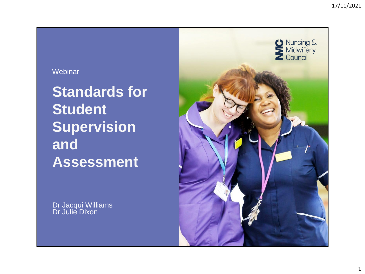## **Webinar**

**Standards for Student Supervision and Assessment**

Dr Jacqui Williams Dr Julie Dixon

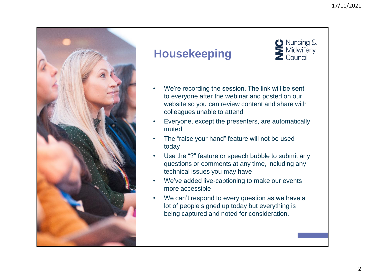**D** Nursing & Midwifery Council



## **Housekeeping**



- Everyone, except the presenters, are automatically muted
- The "raise your hand" feature will not be used today
- Use the "?" feature or speech bubble to submit any questions or comments at any time, including any technical issues you may have
- We've added live-captioning to make our events more accessible
- We can't respond to every question as we have a lot of people signed up today but everything is being captured and noted for consideration.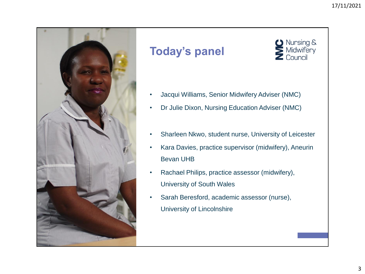Nursing &<br>Midwifery

Council



## **Today's panel**

- Jacqui Williams, Senior Midwifery Adviser (NMC)
- Dr Julie Dixon, Nursing Education Adviser (NMC)
- Sharleen Nkwo, student nurse, University of Leicester
- Kara Davies, practice supervisor (midwifery), Aneurin Bevan UHB
- Rachael Philips, practice assessor (midwifery), University of South Wales
- Sarah Beresford, academic assessor (nurse), University of Lincolnshire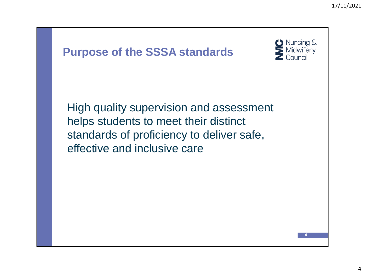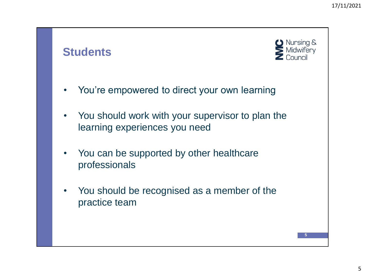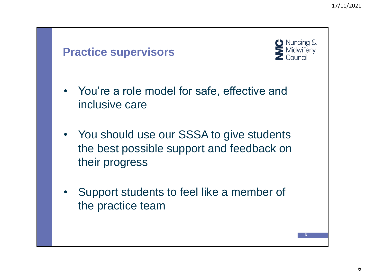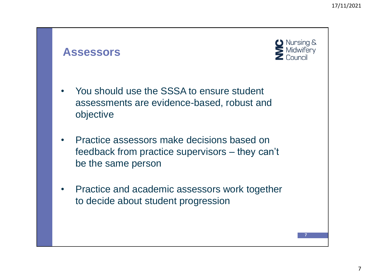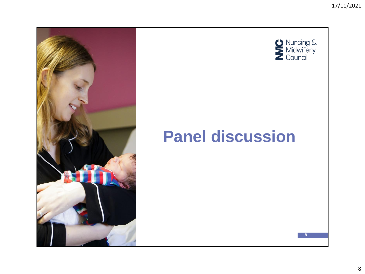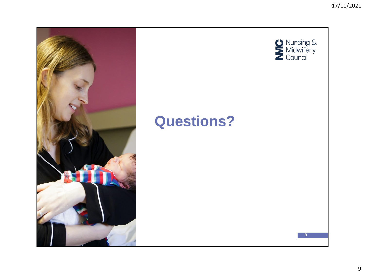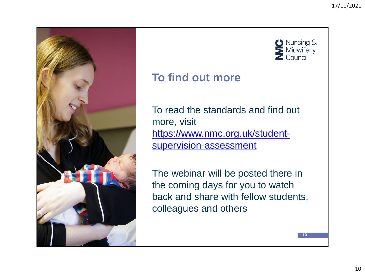